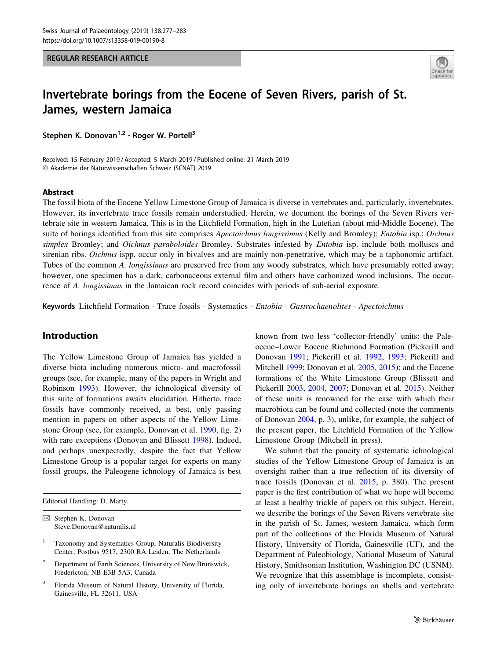#### REGULAR RESEARCH ARTICLE



# Invertebrate borings from the Eocene of Seven Rivers, parish of St. James, western Jamaica

Stephen K. Donovan<sup>1,2</sup> · Roger W. Portell<sup>3</sup>

Received: 15 February 2019 / Accepted: 5 March 2019 / Published online: 21 March 2019 - Akademie der Naturwissenschaften Schweiz (SCNAT) 2019

#### Abstract

The fossil biota of the Eocene Yellow Limestone Group of Jamaica is diverse in vertebrates and, particularly, invertebrates. However, its invertebrate trace fossils remain understudied. Herein, we document the borings of the Seven Rivers vertebrate site in western Jamaica. This is in the Litchfield Formation, high in the Lutetian (about mid-Middle Eocene). The suite of borings identified from this site comprises Apectoichnus longissimus (Kelly and Bromley); Entobia isp.; Oichnus simplex Bromley; and Oichnus paraboloides Bromley. Substrates infested by Entobia isp. include both molluscs and sirenian ribs. Oichnus ispp. occur only in bivalves and are mainly non-penetrative, which may be a taphonomic artifact. Tubes of the common A. longissimus are preserved free from any woody substrates, which have presumably rotted away; however, one specimen has a dark, carbonaceous external film and others have carbonized wood inclusions. The occurrence of A. longissimus in the Jamaican rock record coincides with periods of sub-aerial exposure.

Keywords Litchfield Formation · Trace fossils · Systematics · Entobia · Gastrochaenolites · Apectoichnus

## Introduction

The Yellow Limestone Group of Jamaica has yielded a diverse biota including numerous micro- and macrofossil groups (see, for example, many of the papers in Wright and Robinson [1993](#page-6-0)). However, the ichnological diversity of this suite of formations awaits elucidation. Hitherto, trace fossils have commonly received, at best, only passing mention in papers on other aspects of the Yellow Limestone Group (see, for example, Donovan et al. [1990](#page-5-0), fig. 2) with rare exceptions (Donovan and Blissett [1998](#page-5-0)). Indeed, and perhaps unexpectedly, despite the fact that Yellow Limestone Group is a popular target for experts on many fossil groups, the Paleogene ichnology of Jamaica is best

Editorial Handling: D. Marty.

 $\boxtimes$  Stephen K. Donovan Steve.Donovan@naturalis.nl

- <sup>2</sup> Department of Earth Sciences, University of New Brunswick, Fredericton, NB E3B 5A3, Canada
- <sup>3</sup> Florida Museum of Natural History, University of Florida, Gainesville, FL 32611, USA

known from two less 'collector-friendly' units: the Paleocene–Lower Eocene Richmond Formation (Pickerill and Donovan [1991;](#page-5-0) Pickerill et al. [1992,](#page-5-0) [1993](#page-5-0); Pickerill and Mitchell [1999;](#page-6-0) Donovan et al. [2005](#page-5-0), [2015](#page-5-0)); and the Eocene formations of the White Limestone Group (Blissett and Pickerill [2003](#page-4-0), [2004](#page-4-0), [2007](#page-5-0); Donovan et al. [2015](#page-5-0)). Neither of these units is renowned for the ease with which their macrobiota can be found and collected (note the comments of Donovan [2004,](#page-5-0) p. 3), unlike, for example, the subject of the present paper, the Litchfield Formation of the Yellow Limestone Group (Mitchell in press).

We submit that the paucity of systematic ichnological studies of the Yellow Limestone Group of Jamaica is an oversight rather than a true reflection of its diversity of trace fossils (Donovan et al. [2015,](#page-5-0) p. 380). The present paper is the first contribution of what we hope will become at least a healthy trickle of papers on this subject. Herein, we describe the borings of the Seven Rivers vertebrate site in the parish of St. James, western Jamaica, which form part of the collections of the Florida Museum of Natural History, University of Florida, Gainesville (UF), and the Department of Paleobiology, National Museum of Natural History, Smithsonian Institution, Washington DC (USNM). We recognize that this assemblage is incomplete, consisting only of invertebrate borings on shells and vertebrate

<sup>1</sup> Taxonomy and Systematics Group, Naturalis Biodiversity Center, Postbus 9517, 2300 RA Leiden, The Netherlands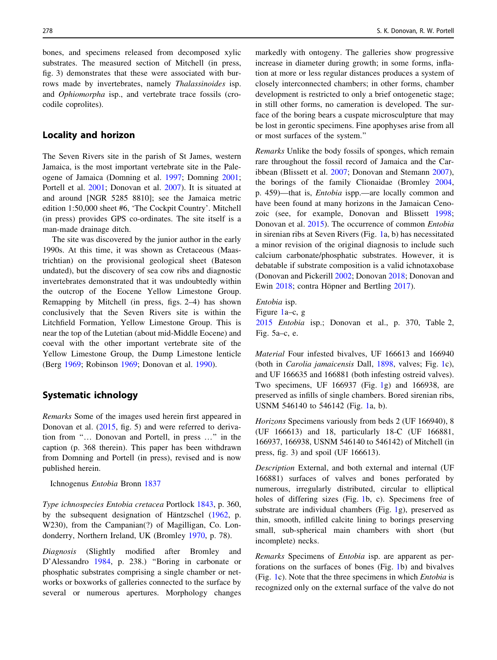bones, and specimens released from decomposed xylic substrates. The measured section of Mitchell (in press, fig. 3) demonstrates that these were associated with burrows made by invertebrates, namely Thalassinoides isp. and Ophiomorpha isp., and vertebrate trace fossils (crocodile coprolites).

## Locality and horizon

The Seven Rivers site in the parish of St James, western Jamaica, is the most important vertebrate site in the Paleogene of Jamaica (Domning et al. [1997;](#page-5-0) Domning [2001](#page-5-0); Portell et al. [2001;](#page-6-0) Donovan et al. [2007](#page-5-0)). It is situated at and around [NGR 5285 8810]; see the Jamaica metric edition 1:50,000 sheet #6, 'The Cockpit Country'. Mitchell (in press) provides GPS co-ordinates. The site itself is a man-made drainage ditch.

The site was discovered by the junior author in the early 1990s. At this time, it was shown as Cretaceous (Maastrichtian) on the provisional geological sheet (Bateson undated), but the discovery of sea cow ribs and diagnostic invertebrates demonstrated that it was undoubtedly within the outcrop of the Eocene Yellow Limestone Group. Remapping by Mitchell (in press, figs. 2–4) has shown conclusively that the Seven Rivers site is within the Litchfield Formation, Yellow Limestone Group. This is near the top of the Lutetian (about mid-Middle Eocene) and coeval with the other important vertebrate site of the Yellow Limestone Group, the Dump Limestone lenticle (Berg [1969](#page-4-0); Robinson [1969;](#page-6-0) Donovan et al. [1990](#page-5-0)).

# Systematic ichnology

Remarks Some of the images used herein first appeared in Donovan et al. ([2015,](#page-5-0) fig. 5) and were referred to derivation from ''… Donovan and Portell, in press …'' in the caption (p. 368 therein). This paper has been withdrawn from Domning and Portell (in press), revised and is now published herein.

Ichnogenus Entobia Bronn [1837](#page-5-0)

Type ichnospecies Entobia cretacea Portlock [1843,](#page-6-0) p. 360, by the subsequent designation of Häntzschel ([1962,](#page-5-0) p. W230), from the Campanian(?) of Magilligan, Co. Londonderry, Northern Ireland, UK (Bromley [1970,](#page-5-0) p. 78).

Diagnosis (Slightly modified after Bromley and D'Alessandro [1984,](#page-5-0) p. 238.) ''Boring in carbonate or phosphatic substrates comprising a single chamber or networks or boxworks of galleries connected to the surface by several or numerous apertures. Morphology changes

markedly with ontogeny. The galleries show progressive increase in diameter during growth; in some forms, inflation at more or less regular distances produces a system of closely interconnected chambers; in other forms, chamber development is restricted to only a brief ontogenetic stage; in still other forms, no cameration is developed. The surface of the boring bears a cuspate microsculpture that may be lost in gerontic specimens. Fine apophyses arise from all or most surfaces of the system.''

Remarks Unlike the body fossils of sponges, which remain rare throughout the fossil record of Jamaica and the Caribbean (Blissett et al. [2007](#page-5-0); Donovan and Stemann [2007](#page-5-0)), the borings of the family Clionaidae (Bromley [2004,](#page-5-0) p. 459)—that is, Entobia ispp.—are locally common and have been found at many horizons in the Jamaican Cenozoic (see, for example, Donovan and Blissett [1998](#page-5-0); Donovan et al. [2015\)](#page-5-0). The occurrence of common Entobia in sirenian ribs at Seven Rivers (Fig. [1](#page-2-0)a, b) has necessitated a minor revision of the original diagnosis to include such calcium carbonate/phosphatic substrates. However, it is debatable if substrate composition is a valid ichnotaxobase (Donovan and Pickerill [2002;](#page-5-0) Donovan [2018;](#page-5-0) Donovan and Ewin [2018;](#page-5-0) contra Höpner and Bertling [2017](#page-5-0)).

Entobia isp.

Figure [1](#page-2-0)a–c, g

[2015](#page-5-0) Entobia isp.; Donovan et al., p. 370, Table 2, Fig. 5a–c, e.

Material Four infested bivalves, UF 166613 and 166940 (both in Carolia jamaicensis Dall, [1898,](#page-5-0) valves; Fig. [1c](#page-2-0)), and UF 166635 and 166881 (both infesting ostreid valves). Two specimens, UF 166937 (Fig. [1](#page-2-0)g) and 166938, are preserved as infills of single chambers. Bored sirenian ribs, USNM 546140 to 546142 (Fig. [1](#page-2-0)a, b).

Horizons Specimens variously from beds 2 (UF 166940), 8 (UF 166613) and 18, particularly 18-C (UF 166881, 166937, 166938, USNM 546140 to 546142) of Mitchell (in press, fig. 3) and spoil (UF 166613).

Description External, and both external and internal (UF 166881) surfaces of valves and bones perforated by numerous, irregularly distributed, circular to elliptical holes of differing sizes (Fig. [1](#page-2-0)b, c). Specimens free of substrate are individual chambers (Fig. [1g](#page-2-0)), preserved as thin, smooth, infilled calcite lining to borings preserving small, sub-spherical main chambers with short (but incomplete) necks.

Remarks Specimens of Entobia isp. are apparent as perforations on the surfaces of bones (Fig. [1](#page-2-0)b) and bivalves (Fig. [1c](#page-2-0)). Note that the three specimens in which Entobia is recognized only on the external surface of the valve do not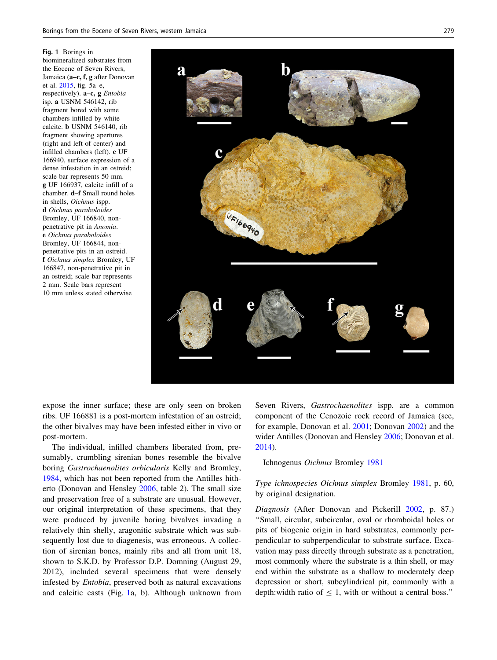<span id="page-2-0"></span>Fig. 1 Borings in biomineralized substrates from the Eocene of Seven Rivers, Jamaica (a–c, f, g after Donovan et al. [2015](#page-5-0), fig. 5a–e, respectively). a-c, g Entobia isp. a USNM 546142, rib fragment bored with some chambers infilled by white calcite. b USNM 546140, rib fragment showing apertures (right and left of center) and infilled chambers (left). c UF 166940, surface expression of a dense infestation in an ostreid; scale bar represents 50 mm. g UF 166937, calcite infill of a chamber. d–f Small round holes in shells, Oichnus ispp. d Oichnus paraboloides Bromley, UF 166840, nonpenetrative pit in Anomia. e Oichnus paraboloides Bromley, UF 166844, nonpenetrative pits in an ostreid. f Oichnus simplex Bromley, UF 166847, non-penetrative pit in an ostreid; scale bar represents 2 mm. Scale bars represent 10 mm unless stated otherwise



expose the inner surface; these are only seen on broken ribs. UF 166881 is a post-mortem infestation of an ostreid; the other bivalves may have been infested either in vivo or post-mortem.

The individual, infilled chambers liberated from, presumably, crumbling sirenian bones resemble the bivalve boring Gastrochaenolites orbicularis Kelly and Bromley, [1984,](#page-5-0) which has not been reported from the Antilles hitherto (Donovan and Hensley [2006,](#page-5-0) table 2). The small size and preservation free of a substrate are unusual. However, our original interpretation of these specimens, that they were produced by juvenile boring bivalves invading a relatively thin shelly, aragonitic substrate which was subsequently lost due to diagenesis, was erroneous. A collection of sirenian bones, mainly ribs and all from unit 18, shown to S.K.D. by Professor D.P. Domning (August 29, 2012), included several specimens that were densely infested by Entobia, preserved both as natural excavations and calcitic casts (Fig. 1a, b). Although unknown from Seven Rivers, Gastrochaenolites ispp. are a common component of the Cenozoic rock record of Jamaica (see, for example, Donovan et al. [2001;](#page-5-0) Donovan [2002](#page-5-0)) and the wider Antilles (Donovan and Hensley [2006](#page-5-0); Donovan et al. [2014](#page-5-0)).

Ichnogenus Oichnus Bromley [1981](#page-5-0)

### Type ichnospecies Oichnus simplex Bromley [1981](#page-5-0), p. 60, by original designation.

Diagnosis (After Donovan and Pickerill [2002](#page-5-0), p. 87.) ''Small, circular, subcircular, oval or rhomboidal holes or pits of biogenic origin in hard substrates, commonly perpendicular to subperpendicular to substrate surface. Excavation may pass directly through substrate as a penetration, most commonly where the substrate is a thin shell, or may end within the substrate as a shallow to moderately deep depression or short, subcylindrical pit, commonly with a depth:width ratio of  $\leq 1$ , with or without a central boss."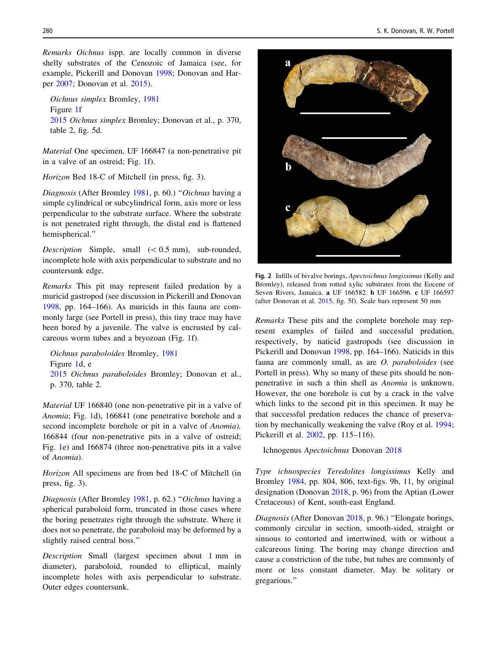<span id="page-3-0"></span>Remarks Oichnus ispp. are locally common in diverse shelly substrates of the Cenozoic of Jamaica (see, for example, Pickerill and Donovan [1998](#page-5-0); Donovan and Harper [2007](#page-5-0); Donovan et al. [2015\)](#page-5-0).

Oichnus simplex Bromley, [1981](#page-5-0) Figure [1f](#page-2-0) [2015](#page-5-0) Oichnus simplex Bromley; Donovan et al., p. 370, table 2, fig. 5d.

Material One specimen, UF 166847 (a non-penetrative pit in a valve of an ostreid; Fig. [1f](#page-2-0)).

Horizon Bed 18-C of Mitchell (in press, fig. 3).

Diagnosis (After Bromley [1981](#page-5-0), p. 60.) "Oichnus having a simple cylindrical or subcylindrical form, axis more or less perpendicular to the substrate surface. Where the substrate is not penetrated right through, the distal end is flattened hemispherical.''

Description Simple, small  $( $0.5$  mm), sub-rounded,$ incomplete hole with axis perpendicular to substrate and no countersunk edge.

Remarks This pit may represent failed predation by a muricid gastropod (see discussion in Pickerill and Donovan [1998,](#page-5-0) pp. 164–166). As muricids in this fauna are commonly large (see Portell in press), this tiny trace may have been bored by a juvenile. The valve is encrusted by calcareous worm tubes and a bryozoan (Fig. [1](#page-2-0)f).

Oichnus paraboloides Bromley, [1981](#page-5-0) Figure [1d](#page-2-0), e [2015](#page-5-0) Oichnus paraboloides Bromley; Donovan et al., p. 370, table 2.

Material UF 166840 (one non-penetrative pit in a valve of Anomia; Fig. [1](#page-2-0)d), 166841 (one penetrative borehole and a second incomplete borehole or pit in a valve of Anomia), 166844 (four non-penetrative pits in a valve of ostreid; Fig. [1](#page-2-0)e) and 166874 (three non-penetrative pits in a valve of Anomia).

Horizon All specimens are from bed 18-C of Mitchell (in press, fig. 3).

Diagnosis (After Bromley [1981](#page-5-0), p. 62.) "Oichnus having a spherical paraboloid form, truncated in those cases where the boring penetrates right through the substrate. Where it does not so penetrate, the paraboloid may be deformed by a slightly raised central boss.''

Description Small (largest specimen about 1 mm in diameter), paraboloid, rounded to elliptical, mainly incomplete holes with axis perpendicular to substrate. Outer edges countersunk.



Fig. 2 Infills of bivalve borings, Apectoichnus longissimus (Kelly and Bromley), released from rotted xylic substrates from the Eocene of Seven Rivers, Jamaica. a UF 166582. b UF 166596. c UF 166597 (after Donovan et al. [2015](#page-5-0), fig. 5f). Scale bars represent 50 mm

Remarks These pits and the complete borehole may represent examples of failed and successful predation, respectively, by naticid gastropods (see discussion in Pickerill and Donovan [1998](#page-5-0), pp. 164–166). Naticids in this fauna are commonly small, as are O. paraboloides (see Portell in press). Why so many of these pits should be nonpenetrative in such a thin shell as Anomia is unknown. However, the one borehole is cut by a crack in the valve which links to the second pit in this specimen. It may be that successful predation reduces the chance of preservation by mechanically weakening the valve (Roy et al. [1994](#page-6-0); Pickerill et al. [2002](#page-6-0), pp. 115–116).

Ichnogenus Apectoichnus Donovan [2018](#page-5-0)

Type ichnospecies Teredolites longissimus Kelly and Bromley [1984,](#page-5-0) pp. 804, 806, text-figs. 9b, 11, by original designation (Donovan [2018](#page-5-0), p. 96) from the Aptian (Lower Cretaceous) of Kent, south-east England.

Diagnosis (After Donovan [2018](#page-5-0), p. 96.) ''Elongate borings, commonly circular in section, smooth-sided, straight or sinuous to contorted and intertwined, with or without a calcareous lining. The boring may change direction and cause a constriction of the tube, but tubes are commonly of more or less constant diameter. May be solitary or gregarious.''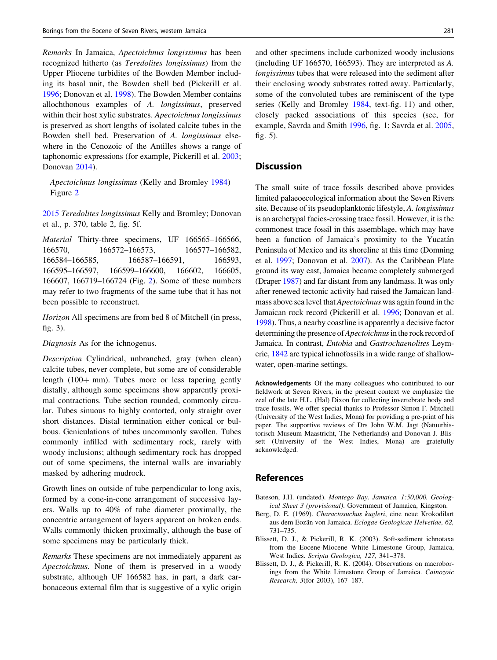<span id="page-4-0"></span>Remarks In Jamaica, Apectoichnus longissimus has been recognized hitherto (as Teredolites longissimus) from the Upper Pliocene turbidites of the Bowden Member including its basal unit, the Bowden shell bed (Pickerill et al. [1996;](#page-6-0) Donovan et al. [1998](#page-5-0)). The Bowden Member contains allochthonous examples of A. longissimus, preserved within their host xylic substrates. Apectoichnus longissimus is preserved as short lengths of isolated calcite tubes in the Bowden shell bed. Preservation of A. longissimus elsewhere in the Cenozoic of the Antilles shows a range of taphonomic expressions (for example, Pickerill et al. [2003](#page-6-0); Donovan [2014\)](#page-5-0).

Apectoichnus longissimus (Kelly and Bromley [1984\)](#page-5-0) Figure [2](#page-3-0)

[2015](#page-5-0) Teredolites longissimus Kelly and Bromley; Donovan et al., p. 370, table 2, fig. 5f.

Material Thirty-three specimens, UF 166565-166566, 166570, 166572–166573, 166577–166582, 166584–166585, 166587–166591, 166593, 166595–166597, 166599–166600, 166602, 166605, 166607, 166719–166724 (Fig. [2\)](#page-3-0). Some of these numbers may refer to two fragments of the same tube that it has not been possible to reconstruct.

Horizon All specimens are from bed 8 of Mitchell (in press, fig. 3).

Diagnosis As for the ichnogenus.

Description Cylindrical, unbranched, gray (when clean) calcite tubes, never complete, but some are of considerable length  $(100 + mm)$ . Tubes more or less tapering gently distally, although some specimens show apparently proximal contractions. Tube section rounded, commonly circular. Tubes sinuous to highly contorted, only straight over short distances. Distal termination either conical or bulbous. Geniculations of tubes uncommonly swollen. Tubes commonly infilled with sedimentary rock, rarely with woody inclusions; although sedimentary rock has dropped out of some specimens, the internal walls are invariably masked by adhering mudrock.

Growth lines on outside of tube perpendicular to long axis, formed by a cone-in-cone arrangement of successive layers. Walls up to 40% of tube diameter proximally, the concentric arrangement of layers apparent on broken ends. Walls commonly thicken proximally, although the base of some specimens may be particularly thick.

Remarks These specimens are not immediately apparent as Apectoichnus. None of them is preserved in a woody substrate, although UF 166582 has, in part, a dark carbonaceous external film that is suggestive of a xylic origin

and other specimens include carbonized woody inclusions (including UF 166570, 166593). They are interpreted as A. longissimus tubes that were released into the sediment after their enclosing woody substrates rotted away. Particularly, some of the convoluted tubes are reminiscent of the type series (Kelly and Bromley [1984](#page-5-0), text-fig. 11) and other, closely packed associations of this species (see, for example, Savrda and Smith [1996](#page-6-0), fig. 1; Savrda et al. [2005,](#page-6-0) fig. 5).

#### **Discussion**

The small suite of trace fossils described above provides limited palaeoecological information about the Seven Rivers site. Because of its pseudoplanktonic lifestyle, A. longissimus is an archetypal facies-crossing trace fossil. However, it is the commonest trace fossil in this assemblage, which may have been a function of Jamaica's proximity to the Yucatán Peninsula of Mexico and its shoreline at this time (Domning et al. [1997](#page-5-0); Donovan et al. [2007](#page-5-0)). As the Caribbean Plate ground its way east, Jamaica became completely submerged (Draper [1987](#page-5-0)) and far distant from any landmass. It was only after renewed tectonic activity had raised the Jamaican landmass above sea level that Apectoichnus was again found in the Jamaican rock record (Pickerill et al. [1996](#page-6-0); Donovan et al. [1998\)](#page-5-0). Thus, a nearby coastline is apparently a decisive factor determining the presence of *Apectoichnus* in the rock record of Jamaica. In contrast, Entobia and Gastrochaenolites Leymerie, [1842](#page-5-0) are typical ichnofossils in a wide range of shallowwater, open-marine settings.

Acknowledgements Of the many colleagues who contributed to our fieldwork at Seven Rivers, in the present context we emphasize the zeal of the late H.L. (Hal) Dixon for collecting invertebrate body and trace fossils. We offer special thanks to Professor Simon F. Mitchell (University of the West Indies, Mona) for providing a pre-print of his paper. The supportive reviews of Drs John W.M. Jagt (Natuurhistorisch Museum Maastricht, The Netherlands) and Donovan J. Blissett (University of the West Indies, Mona) are gratefully acknowledged.

### References

Bateson, J.H. (undated). Montego Bay. Jamaica, 1:50,000, Geological Sheet 3 (provisional). Government of Jamaica, Kingston.

- Berg, D. E. (1969). Charactosuchus kugleri, eine neue Krokodilart aus dem Eozän von Jamaica. Eclogae Geologicae Helvetiae, 62, 731–735.
- Blissett, D. J., & Pickerill, R. K. (2003). Soft-sediment ichnotaxa from the Eocene-Miocene White Limestone Group, Jamaica, West Indies. Scripta Geologica, 127, 341–378.
- Blissett, D. J., & Pickerill, R. K. (2004). Observations on macroborings from the White Limestone Group of Jamaica. Cainozoic Research, 3(for 2003), 167–187.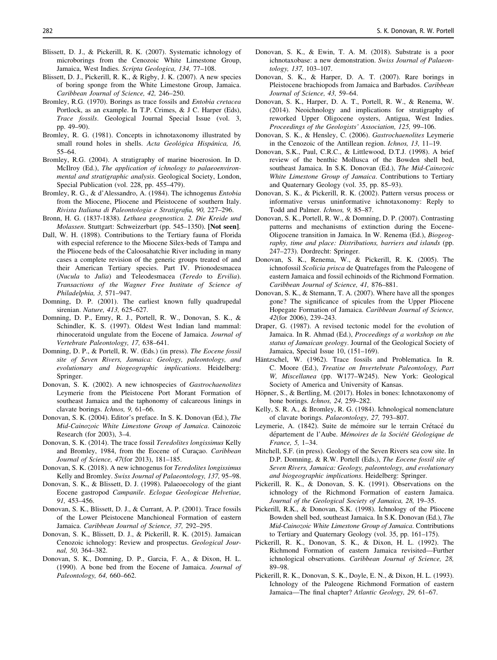- <span id="page-5-0"></span>Blissett, D. J., & Pickerill, R. K. (2007). Systematic ichnology of microborings from the Cenozoic White Limestone Group, Jamaica, West Indies. Scripta Geologica, 134, 77–108.
- Blissett, D. J., Pickerill, R. K., & Rigby, J. K. (2007). A new species of boring sponge from the White Limestone Group, Jamaica. Caribbean Journal of Science, 42, 246–250.
- Bromley, R.G. (1970). Borings as trace fossils and Entobia cretacea Portlock, as an example. In T.P. Crimes, & J C. Harper (Eds), Trace fossils. Geological Journal Special Issue (vol. 3, pp. 49–90).
- Bromley, R. G. (1981). Concepts in ichnotaxonomy illustrated by small round holes in shells. Acta Geológica Hispánica, 16, 55–64.
- Bromley, R.G. (2004). A stratigraphy of marine bioerosion. In D. McIlroy (Ed.), The application of ichnology to palaeoenvironmental and stratigraphic analysis. Geological Society, London, Special Publication (vol. 228, pp. 455–479).
- Bromley, R. G., & d'Alessandro, A. (1984). The ichnogenus Entobia from the Miocene, Pliocene and Pleistocene of southern Italy. Rivista Italiana di Paleontologia e Stratigrafia, 90, 227–296.
- Bronn, H. G. (1837-1838). Lethaea geognostica. 2. Die Kreide und Molassen. Stuttgart: Schweizerbart (pp. 545–1350). [Not seen].
- Dall, W. H. (1898). Contributions to the Tertiary fauna of Florida with especial reference to the Miocene Silex-beds of Tampa and the Pliocene beds of the Caloosahatchie River including in many cases a complete revision of the generic groups treated of and their American Tertiary species. Part IV. Prionodesmacea (Nucula to Julia) and Teleodesmacea (Teredo to Ervilia). Transactions of the Wagner Free Institute of Science of Philadelphia, 3, 571–947.
- Domning, D. P. (2001). The earliest known fully quadrupedal sirenian. Nature, 413, 625–627.
- Domning, D. P., Emry, R. J., Portell, R. W., Donovan, S. K., & Schindler, K. S. (1997). Oldest West Indian land mammal: rhinoceratoid ungulate from the Eocene of Jamaica. Journal of Vertebrate Paleontology, 17, 638–641.
- Domning, D. P., & Portell, R. W. (Eds.) (in press). The Eocene fossil site of Seven Rivers, Jamaica: Geology, paleontology, and evolutionary and biogeographic implications. Heidelberg: Springer.
- Donovan, S. K. (2002). A new ichnospecies of Gastrochaenolites Leymerie from the Pleistocene Port Morant Formation of southeast Jamaica and the taphonomy of calcareous linings in clavate borings. Ichnos, 9, 61–66.
- Donovan, S. K. (2004). Editor's preface. In S. K. Donovan (Ed.), The Mid-Cainozoic White Limestone Group of Jamaica. Cainozoic Research (for 2003), 3–4.
- Donovan, S. K. (2014). The trace fossil Teredolites longissimus Kelly and Bromley, 1984, from the Eocene of Curaçao. Caribbean Journal of Science, 47(for 2013), 181–185.
- Donovan, S. K. (2018). A new ichnogenus for Teredolites longissimus Kelly and Bromley. Swiss Journal of Palaeontology, 137, 95–98.
- Donovan, S. K., & Blissett, D. J. (1998). Palaeoecology of the giant Eocene gastropod Campanile. Eclogae Geologicae Helvetiae, 91, 453–456.
- Donovan, S. K., Blissett, D. J., & Currant, A. P. (2001). Trace fossils of the Lower Pleistocene Manchioneal Formation of eastern Jamaica. Caribbean Journal of Science, 37, 292–295.
- Donovan, S. K., Blissett, D. J., & Pickerill, R. K. (2015). Jamaican Cenozoic ichnology: Review and prospectus. Geological Journal, 50, 364–382.
- Donovan, S. K., Domning, D. P., Garcia, F. A., & Dixon, H. L. (1990). A bone bed from the Eocene of Jamaica. Journal of Paleontology, 64, 660–662.
- Donovan, S. K., & Ewin, T. A. M. (2018). Substrate is a poor ichnotaxobase: a new demonstration. Swiss Journal of Palaeontology, 137, 103–107.
- Donovan, S. K., & Harper, D. A. T. (2007). Rare borings in Pleistocene brachiopods from Jamaica and Barbados. Caribbean Journal of Science, 43, 59–64.
- Donovan, S. K., Harper, D. A. T., Portell, R. W., & Renema, W. (2014). Neoichnology and implications for stratigraphy of reworked Upper Oligocene oysters, Antigua, West Indies. Proceedings of the Geologists' Association, 125, 99–106.
- Donovan, S. K., & Hensley, C. (2006). Gastrochaenolites Leymerie in the Cenozoic of the Antillean region. Ichnos, 13, 11–19.
- Donovan, S.K., Paul, C.R.C., & Littlewood, D.T.J. (1998). A brief review of the benthic Mollusca of the Bowden shell bed, southeast Jamaica. In S.K. Donovan (Ed.), The Mid-Cainozoic White Limestone Group of Jamaica. Contributions to Tertiary and Quaternary Geology (vol. 35, pp. 85–93).
- Donovan, S. K., & Pickerill, R. K. (2002). Pattern versus process or informative versus uninformative ichnotaxonomy: Reply to Todd and Palmer. Ichnos, 9, 85–87.
- Donovan, S. K., Portell, R. W., & Domning, D. P. (2007). Contrasting patterns and mechanisms of extinction during the Eocene-Oligocene transition in Jamaica. In W. Renema (Ed.), Biogeography, time and place: Distributions, barriers and islands (pp. 247–273). Dordrecht: Springer.
- Donovan, S. K., Renema, W., & Pickerill, R. K. (2005). The ichnofossil Scolicia prisca de Quatrefages from the Paleogene of eastern Jamaica and fossil echinoids of the Richmond Formation. Caribbean Journal of Science, 41, 876–881.
- Donovan, S. K., & Stemann, T. A. (2007). Where have all the sponges gone? The significance of spicules from the Upper Pliocene Hopegate Formation of Jamaica. Caribbean Journal of Science, 42(for 2006), 239–243.
- Draper, G. (1987). A revised tectonic model for the evolution of Jamaica. In R. Ahmad (Ed.), Proceedings of a workshop on the status of Jamaican geology. Journal of the Geological Society of Jamaica, Special Issue 10, (151–169).
- Häntzschel, W. (1962). Trace fossils and Problematica. In R. C. Moore (Ed.), Treatise on Invertebrate Paleontology, Part W, Miscellanea (pp. W177–W245). New York: Geological Society of America and University of Kansas.
- Höpner, S., & Bertling, M. (2017). Holes in bones: Ichnotaxonomy of bone borings. Ichnos, 24, 259–282.
- Kelly, S. R. A., & Bromley, R. G. (1984). Ichnological nomenclature of clavate borings. Palaeontology, 27, 793–807.
- Leymerie, A. (1842). Suite de mémoire sur le terrain Crétacé du département de l'Aube. Mémoires de la Société Géologique de France, 5, 1–34.
- Mitchell, S.F. (in press). Geology of the Seven Rivers sea cow site. In D.P. Domning, & R.W. Portell (Eds.), The Eocene fossil site of Seven Rivers, Jamaica: Geology, paleontology, and evolutionary and biogeographic implications. Heidelberg: Springer.
- Pickerill, R. K., & Donovan, S. K. (1991). Observations on the ichnology of the Richmond Formation of eastern Jamaica. Journal of the Geological Society of Jamaica, 28, 19–35.
- Pickerill, R.K., & Donovan, S.K. (1998). Ichnology of the Pliocene Bowden shell bed, southeast Jamaica. In S.K. Donovan (Ed.), The Mid-Cainozoic White Limestone Group of Jamaica. Contributions to Tertiary and Quaternary Geology (vol. 35, pp. 161–175).
- Pickerill, R. K., Donovan, S. K., & Dixon, H. L. (1992). The Richmond Formation of eastern Jamaica revisited—Further ichnological observations. Caribbean Journal of Science, 28, 89–98.
- Pickerill, R. K., Donovan, S. K., Doyle, E. N., & Dixon, H. L. (1993). Ichnology of the Paleogene Richmond Formation of eastern Jamaica—The final chapter? Atlantic Geology, 29, 61–67.